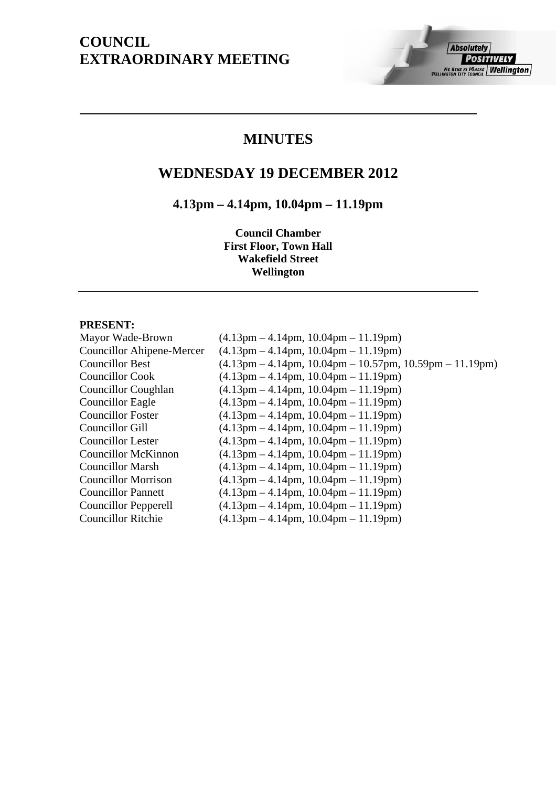# **COUNCIL EXTRAORDINARY MEETING**

## **MINUTES**

# **WEDNESDAY 19 DECEMBER 2012**

# **4.13pm – 4.14pm, 10.04pm – 11.19pm**

**Council Chamber First Floor, Town Hall Wakefield Street Wellington** 

## **PRESENT:**

| Mayor Wade-Brown                 | $(4.13 \text{pm} - 4.14 \text{pm}, 10.04 \text{pm} - 11.19 \text{pm})$                                    |
|----------------------------------|-----------------------------------------------------------------------------------------------------------|
| <b>Councillor Ahipene-Mercer</b> | $(4.13 \text{pm} - 4.14 \text{pm}, 10.04 \text{pm} - 11.19 \text{pm})$                                    |
| <b>Councillor Best</b>           | $(4.13 \text{pm} - 4.14 \text{pm}, 10.04 \text{pm} - 10.57 \text{pm}, 10.59 \text{pm} - 11.19 \text{pm})$ |
| <b>Councillor Cook</b>           | $(4.13 \text{pm} - 4.14 \text{pm}, 10.04 \text{pm} - 11.19 \text{pm})$                                    |
| Councillor Coughlan              | $(4.13 \text{pm} - 4.14 \text{pm}, 10.04 \text{pm} - 11.19 \text{pm})$                                    |
| Councillor Eagle                 | $(4.13 \text{pm} - 4.14 \text{pm}, 10.04 \text{pm} - 11.19 \text{pm})$                                    |
| <b>Councillor Foster</b>         | $(4.13 \text{pm} - 4.14 \text{pm}, 10.04 \text{pm} - 11.19 \text{pm})$                                    |
| Councillor Gill                  | $(4.13 \text{pm} - 4.14 \text{pm}, 10.04 \text{pm} - 11.19 \text{pm})$                                    |
| <b>Councillor Lester</b>         | $(4.13 \text{pm} - 4.14 \text{pm}, 10.04 \text{pm} - 11.19 \text{pm})$                                    |
| Councillor McKinnon              | $(4.13 \text{pm} - 4.14 \text{pm}, 10.04 \text{pm} - 11.19 \text{pm})$                                    |
| <b>Councillor Marsh</b>          | $(4.13 \text{pm} - 4.14 \text{pm}, 10.04 \text{pm} - 11.19 \text{pm})$                                    |
| <b>Councillor Morrison</b>       | $(4.13 \text{pm} - 4.14 \text{pm}, 10.04 \text{pm} - 11.19 \text{pm})$                                    |
| <b>Councillor Pannett</b>        | $(4.13 \text{pm} - 4.14 \text{pm}, 10.04 \text{pm} - 11.19 \text{pm})$                                    |
| <b>Councillor Pepperell</b>      | $(4.13 \text{pm} - 4.14 \text{pm}, 10.04 \text{pm} - 11.19 \text{pm})$                                    |
| <b>Councillor Ritchie</b>        | $(4.13 \text{pm} - 4.14 \text{pm}, 10.04 \text{pm} - 11.19 \text{pm})$                                    |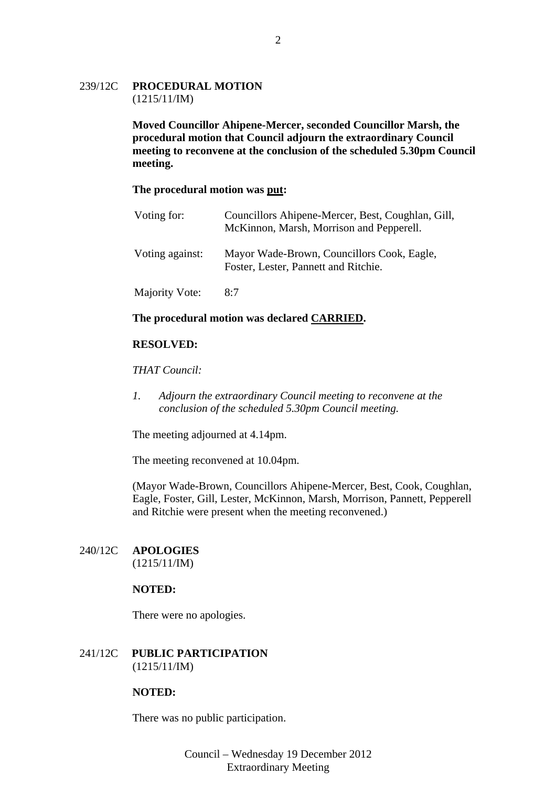## 239/12C **PROCEDURAL MOTION** (1215/11/IM)

**Moved Councillor Ahipene-Mercer, seconded Councillor Marsh, the procedural motion that Council adjourn the extraordinary Council meeting to reconvene at the conclusion of the scheduled 5.30pm Council meeting.** 

#### **The procedural motion was put:**

| Voting for:           | Councillors Ahipene-Mercer, Best, Coughlan, Gill,<br>McKinnon, Marsh, Morrison and Pepperell. |
|-----------------------|-----------------------------------------------------------------------------------------------|
| Voting against:       | Mayor Wade-Brown, Councillors Cook, Eagle,<br>Foster, Lester, Pannett and Ritchie.            |
| <b>Majority Vote:</b> | 8:7                                                                                           |

#### **The procedural motion was declared CARRIED.**

## **RESOLVED:**

#### *THAT Council:*

*1. Adjourn the extraordinary Council meeting to reconvene at the conclusion of the scheduled 5.30pm Council meeting.* 

The meeting adjourned at 4.14pm.

The meeting reconvened at 10.04pm.

(Mayor Wade-Brown, Councillors Ahipene-Mercer, Best, Cook, Coughlan, Eagle, Foster, Gill, Lester, McKinnon, Marsh, Morrison, Pannett, Pepperell and Ritchie were present when the meeting reconvened.)

## 240/12C **APOLOGIES**

(1215/11/IM)

## **NOTED:**

There were no apologies.

## 241/12C **PUBLIC PARTICIPATION** (1215/11/IM)

## **NOTED:**

There was no public participation.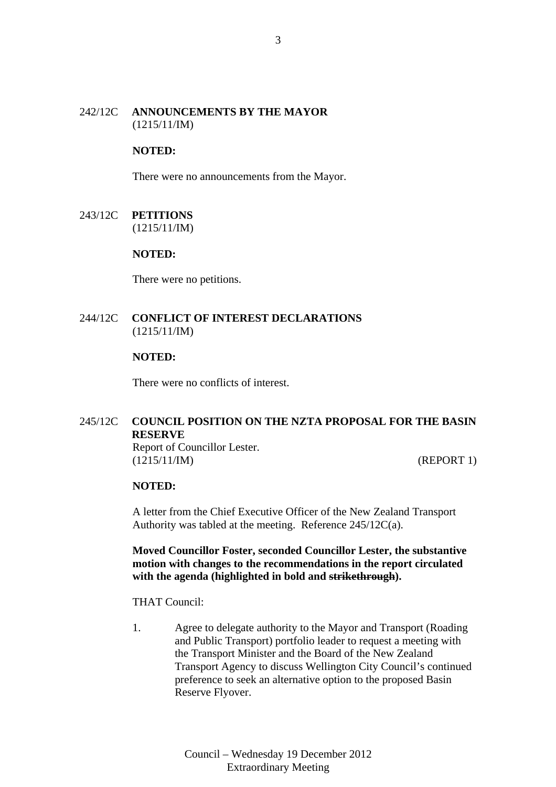## 242/12C **ANNOUNCEMENTS BY THE MAYOR** (1215/11/IM)

## **NOTED:**

There were no announcements from the Mayor.

243/12C **PETITIONS** (1215/11/IM)

#### **NOTED:**

There were no petitions.

## 244/12C **CONFLICT OF INTEREST DECLARATIONS** (1215/11/IM)

#### **NOTED:**

There were no conflicts of interest.

## 245/12C **COUNCIL POSITION ON THE NZTA PROPOSAL FOR THE BASIN RESERVE**

Report of Councillor Lester. (1215/11/IM) (REPORT 1)

#### **NOTED:**

A letter from the Chief Executive Officer of the New Zealand Transport Authority was tabled at the meeting. Reference 245/12C(a).

**Moved Councillor Foster, seconded Councillor Lester, the substantive motion with changes to the recommendations in the report circulated with the agenda (highlighted in bold and strikethrough).** 

THAT Council:

1. Agree to delegate authority to the Mayor and Transport (Roading and Public Transport) portfolio leader to request a meeting with the Transport Minister and the Board of the New Zealand Transport Agency to discuss Wellington City Council's continued preference to seek an alternative option to the proposed Basin Reserve Flyover.

> Council – Wednesday 19 December 2012 Extraordinary Meeting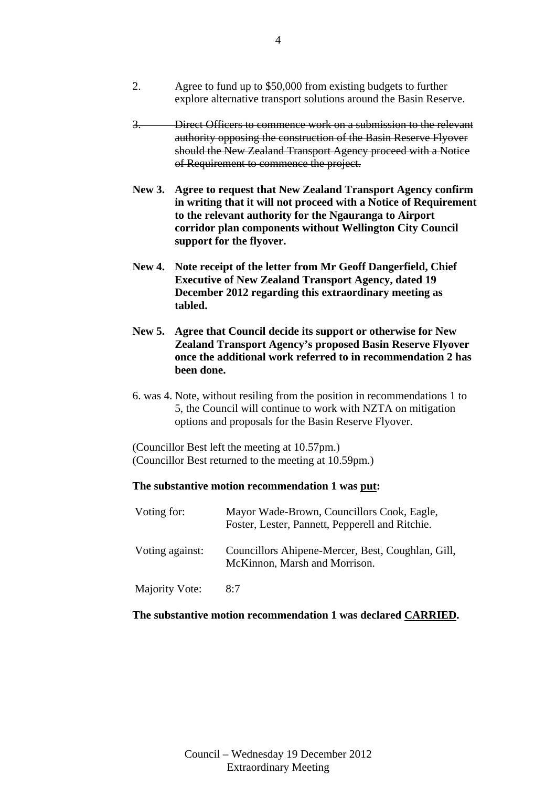2. Agree to fund up to \$50,000 from existing budgets to further explore alternative transport solutions around the Basin Reserve.

## 3. Direct Officers to commence work on a submission to the relevant authority opposing the construction of the Basin Reserve Flyover should the New Zealand Transport Agency proceed with a Notice of Requirement to commence the project.

- **New 3. Agree to request that New Zealand Transport Agency confirm in writing that it will not proceed with a Notice of Requirement to the relevant authority for the Ngauranga to Airport corridor plan components without Wellington City Council support for the flyover.**
- **New 4. Note receipt of the letter from Mr Geoff Dangerfield, Chief Executive of New Zealand Transport Agency, dated 19 December 2012 regarding this extraordinary meeting as tabled.**
- **New 5. Agree that Council decide its support or otherwise for New Zealand Transport Agency's proposed Basin Reserve Flyover once the additional work referred to in recommendation 2 has been done.**
- 6. was 4. Note, without resiling from the position in recommendations 1 to 5, the Council will continue to work with NZTA on mitigation options and proposals for the Basin Reserve Flyover.

(Councillor Best left the meeting at 10.57pm.) (Councillor Best returned to the meeting at 10.59pm.)

## **The substantive motion recommendation 1 was put:**

| Voting for:           | Mayor Wade-Brown, Councillors Cook, Eagle,<br>Foster, Lester, Pannett, Pepperell and Ritchie. |
|-----------------------|-----------------------------------------------------------------------------------------------|
| Voting against:       | Councillors Ahipene-Mercer, Best, Coughlan, Gill,<br>McKinnon, Marsh and Morrison.            |
| <b>Majority Vote:</b> | 8:7                                                                                           |

## **The substantive motion recommendation 1 was declared CARRIED.**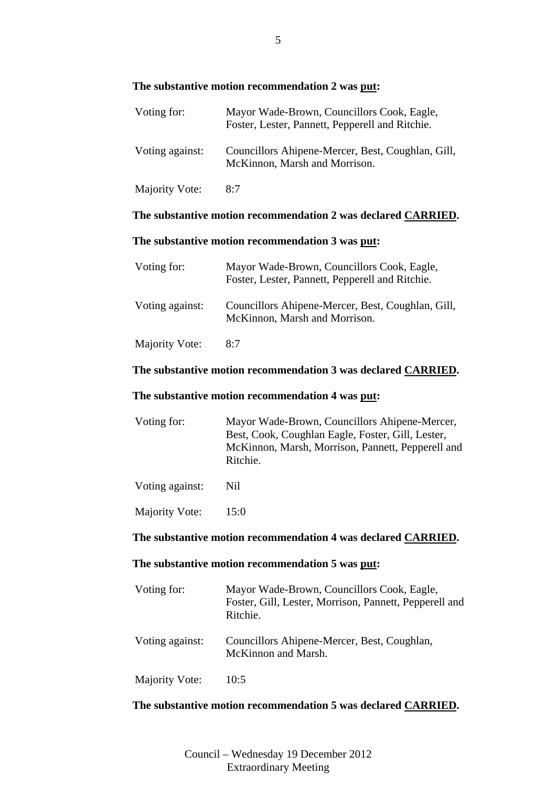## **The substantive motion recommendation 2 was put:**

| Voting for:     | Mayor Wade-Brown, Councillors Cook, Eagle,<br>Foster, Lester, Pannett, Pepperell and Ritchie. |
|-----------------|-----------------------------------------------------------------------------------------------|
| Voting against: | Councillors Ahipene-Mercer, Best, Coughlan, Gill,<br>McKinnon, Marsh and Morrison.            |

Majority Vote: 8:7

## **The substantive motion recommendation 2 was declared CARRIED.**

## **The substantive motion recommendation 3 was put:**

| Voting for:           | Mayor Wade-Brown, Councillors Cook, Eagle,<br>Foster, Lester, Pannett, Pepperell and Ritchie. |
|-----------------------|-----------------------------------------------------------------------------------------------|
| Voting against:       | Councillors Ahipene-Mercer, Best, Coughlan, Gill,<br>McKinnon, Marsh and Morrison.            |
| <b>Majority Vote:</b> | 8:7                                                                                           |

## **The substantive motion recommendation 3 was declared CARRIED.**

## **The substantive motion recommendation 4 was put:**

| Voting for: | Mayor Wade-Brown, Councillors Ahipene-Mercer,     |
|-------------|---------------------------------------------------|
|             | Best, Cook, Coughlan Eagle, Foster, Gill, Lester, |
|             | McKinnon, Marsh, Morrison, Pannett, Pepperell and |
|             | Ritchie.                                          |
|             |                                                   |

Voting against: Nil

Majority Vote: 15:0

## **The substantive motion recommendation 4 was declared CARRIED.**

## **The substantive motion recommendation 5 was put:**

| Voting for:     | Mayor Wade-Brown, Councillors Cook, Eagle,<br>Foster, Gill, Lester, Morrison, Pannett, Pepperell and<br>Ritchie. |
|-----------------|------------------------------------------------------------------------------------------------------------------|
| Voting against: | Councillors Ahipene-Mercer, Best, Coughlan,<br>McKinnon and Marsh.                                               |
| Majority Vote:  | 10:5                                                                                                             |

## **The substantive motion recommendation 5 was declared CARRIED.**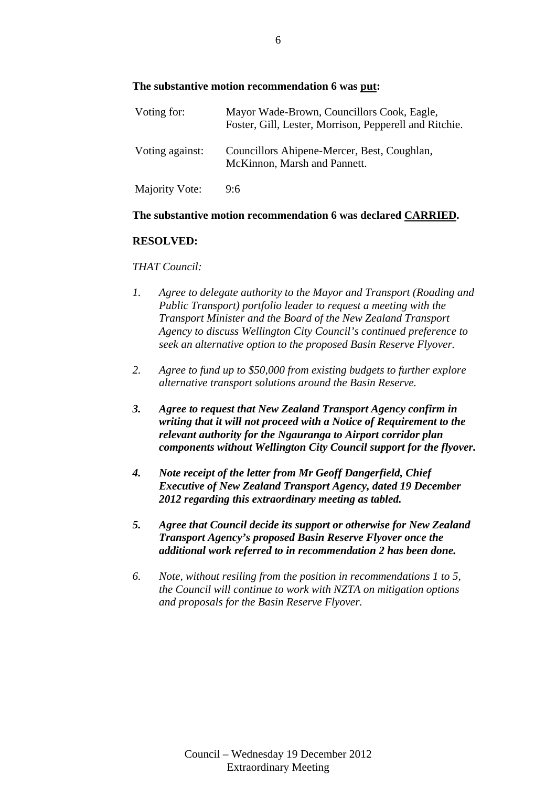## **The substantive motion recommendation 6 was put:**

| Voting for:     | Mayor Wade-Brown, Councillors Cook, Eagle,<br>Foster, Gill, Lester, Morrison, Pepperell and Ritchie. |
|-----------------|------------------------------------------------------------------------------------------------------|
| Voting against: | Councillors Ahipene-Mercer, Best, Coughlan,<br>McKinnon, Marsh and Pannett.                          |
| Majority Vote:  | 9:6                                                                                                  |

#### **The substantive motion recommendation 6 was declared CARRIED.**

## **RESOLVED:**

#### *THAT Council:*

- *1. Agree to delegate authority to the Mayor and Transport (Roading and Public Transport) portfolio leader to request a meeting with the Transport Minister and the Board of the New Zealand Transport Agency to discuss Wellington City Council's continued preference to seek an alternative option to the proposed Basin Reserve Flyover.*
- *2. Agree to fund up to \$50,000 from existing budgets to further explore alternative transport solutions around the Basin Reserve.*
- *3. Agree to request that New Zealand Transport Agency confirm in writing that it will not proceed with a Notice of Requirement to the relevant authority for the Ngauranga to Airport corridor plan components without Wellington City Council support for the flyover.*
- *4. Note receipt of the letter from Mr Geoff Dangerfield, Chief Executive of New Zealand Transport Agency, dated 19 December 2012 regarding this extraordinary meeting as tabled.*
- *5. Agree that Council decide its support or otherwise for New Zealand Transport Agency's proposed Basin Reserve Flyover once the additional work referred to in recommendation 2 has been done.*
- *6. Note, without resiling from the position in recommendations 1 to 5, the Council will continue to work with NZTA on mitigation options and proposals for the Basin Reserve Flyover.*

6